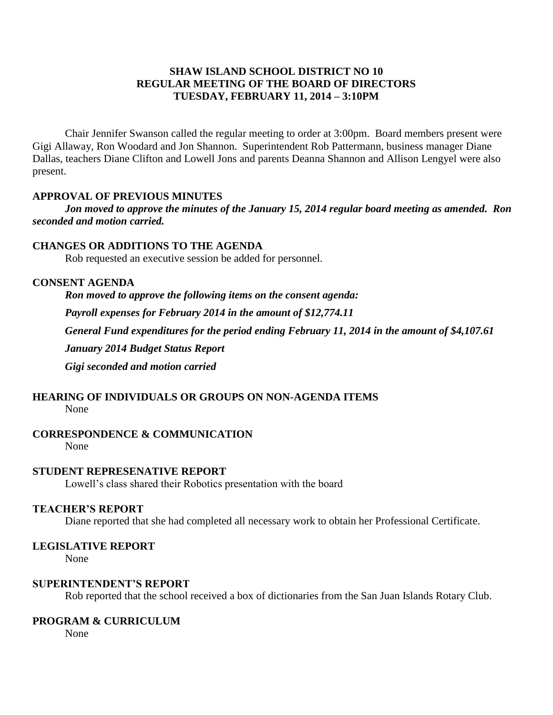### **SHAW ISLAND SCHOOL DISTRICT NO 10 REGULAR MEETING OF THE BOARD OF DIRECTORS TUESDAY, FEBRUARY 11, 2014 – 3:10PM**

Chair Jennifer Swanson called the regular meeting to order at 3:00pm. Board members present were Gigi Allaway, Ron Woodard and Jon Shannon. Superintendent Rob Pattermann, business manager Diane Dallas, teachers Diane Clifton and Lowell Jons and parents Deanna Shannon and Allison Lengyel were also present.

### **APPROVAL OF PREVIOUS MINUTES**

*Jon moved to approve the minutes of the January 15, 2014 regular board meeting as amended. Ron seconded and motion carried.*

### **CHANGES OR ADDITIONS TO THE AGENDA**

Rob requested an executive session be added for personnel.

### **CONSENT AGENDA**

*Ron moved to approve the following items on the consent agenda: Payroll expenses for February 2014 in the amount of \$12,774.11 General Fund expenditures for the period ending February 11, 2014 in the amount of \$4,107.61 January 2014 Budget Status Report Gigi seconded and motion carried*

# **HEARING OF INDIVIDUALS OR GROUPS ON NON-AGENDA ITEMS**

None

# **CORRESPONDENCE & COMMUNICATION**

None

# **STUDENT REPRESENATIVE REPORT**

Lowell's class shared their Robotics presentation with the board

#### **TEACHER'S REPORT**

Diane reported that she had completed all necessary work to obtain her Professional Certificate.

# **LEGISLATIVE REPORT**

None

#### **SUPERINTENDENT'S REPORT**

Rob reported that the school received a box of dictionaries from the San Juan Islands Rotary Club.

# **PROGRAM & CURRICULUM**

None